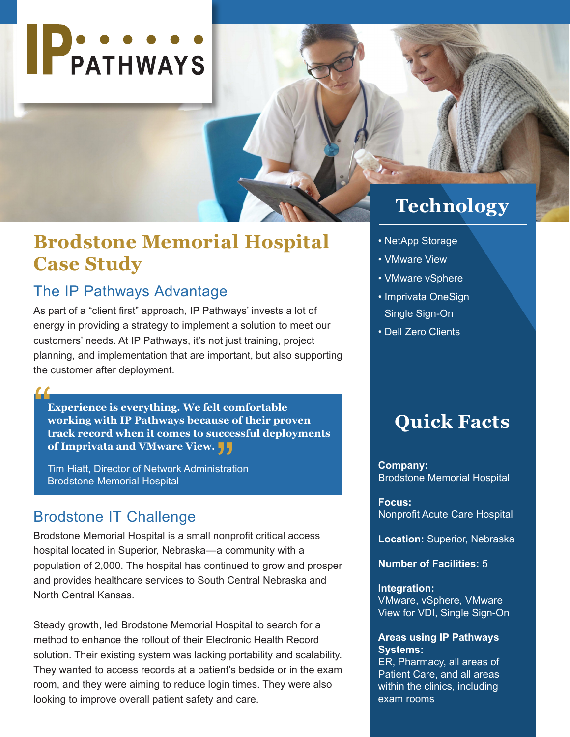

## **Brodstone Memorial Hospital Case Study**

## The IP Pathways Advantage

As part of a "client first" approach, IP Pathways' invests a lot of energy in providing a strategy to implement a solution to meet our customers' needs. At IP Pathways, it's not just training, project planning, and implementation that are important, but also supporting the customer after deployment.

**Experience is everything. We felt comfortable working with IP Pathways because of their proven track record when it comes to successful deployments of Imprivata and VMware View.**  $\begin{array}{c}\n\bullet \\
\bullet \\
\bullet \\
\bullet \\
\bullet\n\end{array}$ se d<br>.cce<br>**} }** 

Tim Hiatt, Director of Network Administration Brodstone Memorial Hospital

### Brodstone IT Challenge

Brodstone Memorial Hospital is a small nonprofit critical access hospital located in Superior, Nebraska—a community with a population of 2,000. The hospital has continued to grow and prosper and provides healthcare services to South Central Nebraska and North Central Kansas.

Steady growth, led Brodstone Memorial Hospital to search for a method to enhance the rollout of their Electronic Health Record solution. Their existing system was lacking portability and scalability. They wanted to access records at a patient's bedside or in the exam room, and they were aiming to reduce login times. They were also looking to improve overall patient safety and care.

## **Technology**

- NetApp Storage
- VMware View
- VMware vSphere
- Imprivata OneSign Single Sign-On
- Dell Zero Clients

## **Quick Facts**

**Company:** Brodstone Memorial Hospital

**Focus:** Nonprofit Acute Care Hospital

**Location:** Superior, Nebraska

**Number of Facilities:** 5

#### **Integration:**

VMware, vSphere, VMware View for VDI, Single Sign-On

#### **Areas using IP Pathways Systems:**

ER, Pharmacy, all areas of Patient Care, and all areas within the clinics, including exam rooms